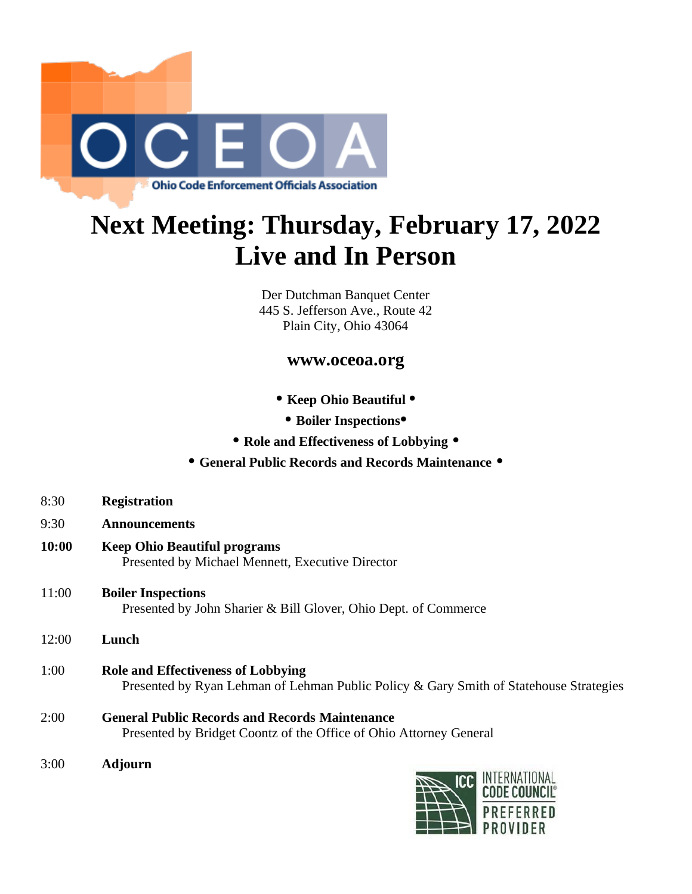

## **Next Meeting: Thursday, February 17, 2022 Live and In Person**

Der Dutchman Banquet Center 445 S. Jefferson Ave., Route 42 Plain City, Ohio 43064

## **www.oceoa.org**

- **Keep Ohio Beautiful •**
- **Boiler Inspections•**
- **Role and Effectiveness of Lobbying •**

## **• General Public Records and Records Maintenance •**

- 8:30 **Registration**
- 9:30 **Announcements**
- **10:00 Keep Ohio Beautiful programs** Presented by Michael Mennett, Executive Director
- 11:00 **Boiler Inspections** Presented by John Sharier & Bill Glover, Ohio Dept. of Commerce
- 12:00 **Lunch**
- 1:00 **Role and Effectiveness of Lobbying** Presented by Ryan Lehman of Lehman Public Policy & Gary Smith of Statehouse Strategies
- 2:00 **General Public Records and Records Maintenance** Presented by Bridget Coontz of the Office of Ohio Attorney General
- 3:00 **Adjourn**